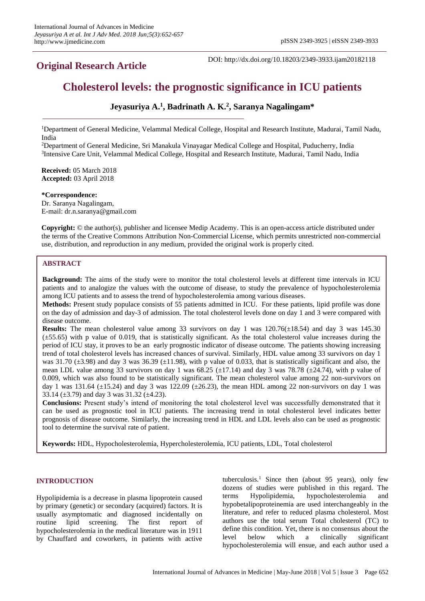## **Original Research Article**

DOI: http://dx.doi.org/10.18203/2349-3933.ijam20182118

# **Cholesterol levels: the prognostic significance in ICU patients**

## **Jeyasuriya A.<sup>1</sup> , Badrinath A. K.<sup>2</sup> , Saranya Nagalingam\***

<sup>1</sup>Department of General Medicine, Velammal Medical College, Hospital and Research Institute, Madurai, Tamil Nadu, India

<sup>2</sup>Department of General Medicine, Sri Manakula Vinayagar Medical College and Hospital, Puducherry, India <sup>3</sup>Intensive Care Unit, Velammal Medical College, Hospital and Research Institute, Madurai, Tamil Nadu, India

**Received:** 05 March 2018 **Accepted:** 03 April 2018

**\*Correspondence:** Dr. Saranya Nagalingam, E-mail: dr.n.saranya@gmail.com

**Copyright:** © the author(s), publisher and licensee Medip Academy. This is an open-access article distributed under the terms of the Creative Commons Attribution Non-Commercial License, which permits unrestricted non-commercial use, distribution, and reproduction in any medium, provided the original work is properly cited.

## **ABSTRACT**

**Background:** The aims of the study were to monitor the total cholesterol levels at different time intervals in ICU patients and to analogize the values with the outcome of disease, to study the prevalence of hypocholesterolemia among ICU patients and to assess the trend of hypocholesterolemia among various diseases.

**Methods:** Present study populace consists of 55 patients admitted in ICU. For these patients, lipid profile was done on the day of admission and day-3 of admission. The total cholesterol levels done on day 1 and 3 were compared with disease outcome.

**Results:** The mean cholesterol value among 33 survivors on day 1 was 120.76(±18.54) and day 3 was 145.30  $(\pm 55.65)$  with p value of 0.019, that is statistically significant. As the total cholesterol value increases during the period of ICU stay, it proves to be an early prognostic indicator of disease outcome. The patients showing increasing trend of total cholesterol levels has increased chances of survival. Similarly, HDL value among 33 survivors on day 1 was 31.70 ( $\pm$ 3.98) and day 3 was 36.39 ( $\pm$ 11.98), with p value of 0.033, that is statistically significant and also, the mean LDL value among 33 survivors on day 1 was  $68.25 \pm 17.14$ ) and day 3 was 78.78 ( $\pm 24.74$ ), with p value of 0.009, which was also found to be statistically significant. The mean cholesterol value among 22 non-survivors on day 1 was 131.64 ( $\pm$ 15.24) and day 3 was 122.09 ( $\pm$ 26.23), the mean HDL among 22 non-survivors on day 1 was 33.14 ( $\pm$ 3.79) and day 3 was 31.32 ( $\pm$ 4.23).

**Conclusions:** Present study's intend of monitoring the total cholesterol level was successfully demonstrated that it can be used as prognostic tool in ICU patients. The increasing trend in total cholesterol level indicates better prognosis of disease outcome. Similarly, the increasing trend in HDL and LDL levels also can be used as prognostic tool to determine the survival rate of patient.

**Keywords:** HDL, Hypocholesterolemia, Hypercholesterolemia, ICU patients, LDL, Total cholesterol

## **INTRODUCTION**

Hypolipidemia is a decrease in plasma lipoprotein caused by primary (genetic) or secondary (acquired) factors. It is usually asymptomatic and diagnosed incidentally on routine lipid screening. The first report of hypocholesterolemia in the medical literature was in 1911 by Chauffard and coworkers, in patients with active tuberculosis.<sup>1</sup> Since then (about 95 years), only few dozens of studies were published in this regard. The terms Hypolipidemia, hypocholesterolemia and hypobetalipoproteinemia are used interchangeably in the literature, and refer to reduced plasma cholesterol. Most authors use the total serum Total cholesterol (TC) to define this condition. Yet, there is no consensus about the level below which a clinically significant hypocholesterolemia will ensue, and each author used a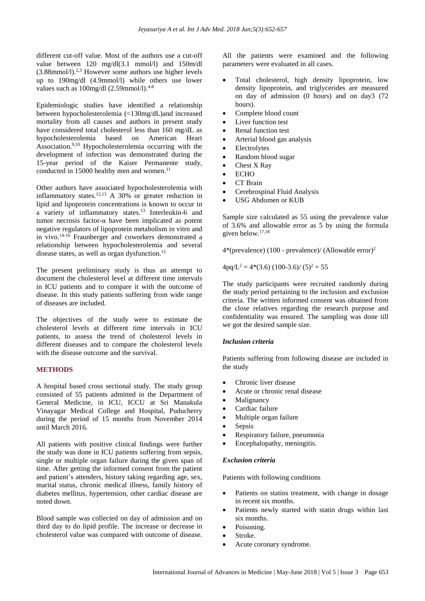different cut-off value. Most of the authors use a cut-off value between 120 mg/dl(3.1 mmol/l) and 150m/dl  $(3.88$ mmol/l).<sup>2,3</sup> However some authors use higher levels up to 190mg/dl (4.9mmol/l) while others use lower values such as  $100$ mg/dl  $(2.59$ mmol/l $)^{4-8}$ 

Epidemiologic studies have identified a relationship between hypocholesterolemia (<130mg/dL)and increased mortality from all causes and authors in present study have considered total cholesterol less than 160 mg/dL as hypocholesterolemia based on American Heart Association.9,10 Hypocholesterolemia occurring with the development of infection was demonstrated during the 15-year period of the Kaiser Permanente study, conducted in 15000 healthy men and women.<sup>11</sup>

Other authors have associated hypocholesterolemia with inflammatory states.<sup>12,13</sup> A 30% or greater reduction in lipid and lipoprotein concentrations is known to occur in a variety of inflammatory states.<sup>13</sup> Interleukin-6 and tumor necrosis factor-α have been implicated as potent negative regulators of lipoprotein metabolism in vitro and in vivo.14-16 Fraunberger and coworkers demonstrated a relationship between hypocholesterolemia and several disease states, as well as organ dysfunction.<sup>15</sup>

The present preliminary study is thus an attempt to document the cholesterol level at different time intervals in ICU patients and to compare it with the outcome of disease. In this study patients suffering from wide range of diseases are included.

The objectives of the study were to estimate the cholesterol levels at different time intervals in ICU patients, to assess the trend of cholesterol levels in different diseases and to compare the cholesterol levels with the disease outcome and the survival.

#### **METHODS**

A hospital based cross sectional study. The study group consisted of 55 patients admitted in the Department of General Medicine, in ICU, ICCU at Sri Manakula Vinayagar Medical College and Hospital, Puducherry during the period of 15 months from November 2014 until March 2016.

All patients with positive clinical findings were further the study was done in ICU patients suffering from sepsis, single or multiple organ failure during the given span of time. After getting the informed consent from the patient and patient's attenders, history taking regarding age, sex, marital status, chronic medical illness, family history of diabetes mellitus, hypertension, other cardiac disease are noted down.

Blood sample was collected on day of admission and on third day to do lipid profile. The increase or decrease in cholesterol value was compared with outcome of disease.

All the patients were examined and the following parameters were evaluated in all cases.

- Total cholesterol, high density lipoprotein, low density lipoprotein, and triglycerides are measured on day of admission (0 hours) and on day3 (72 hours).
- Complete blood count
- Liver function test
- Renal function test
- Arterial blood gas analysis
- Electrolytes
- Random blood sugar
- Chest X Ray
- ECHO
- CT Brain
- Cerebrospinal Fluid Analysis
- USG Abdomen or KUB

Sample size calculated as 55 using the prevalence value of 3.6% and allowable error as 5 by using the formula given below. 17,18

 $4*(prevalence)$  (100 - prevalence)/ (Allowable error)<sup>2</sup>

 $4pq/L^2 = 4*(3.6) (100-3.6) / (5)^2 = 55$ 

The study participants were recruited randomly during the study period pertaining to the inclusion and exclusion criteria. The written informed consent was obtained from the close relatives regarding the research purpose and confidentiality was ensured. The sampling was done till we got the desired sample size.

#### *Inclusion criteria*

Patients suffering from following disease are included in the study

- Chronic liver disease
- Acute or chronic renal disease
- Malignancy
- Cardiac failure
- Multiple organ failure
- Sepsis
- Respiratory failure, pneumonia
- Encephalopathy, meningitis.

#### *Exclusion criteria*

Patients with following conditions

- Patients on statins treatment, with change in dosage in recent six months.
- Patients newly started with statin drugs within last six months.
- Poisoning.
- Stroke.
- Acute coronary syndrome.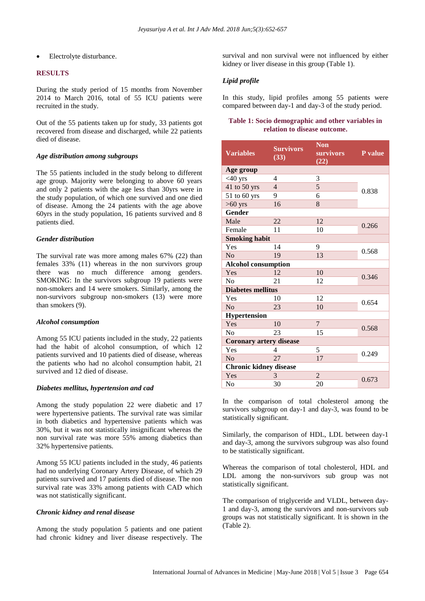Electrolyte disturbance.

#### **RESULTS**

During the study period of 15 months from November 2014 to March 2016, total of 55 ICU patients were recruited in the study.

Out of the 55 patients taken up for study, 33 patients got recovered from disease and discharged, while 22 patients died of disease.

#### *Age distribution among subgroups*

The 55 patients included in the study belong to different age group. Majority were belonging to above 60 years and only 2 patients with the age less than 30yrs were in the study population, of which one survived and one died of disease. Among the 24 patients with the age above 60yrs in the study population, 16 patients survived and 8 patients died.

## *Gender distribution*

The survival rate was more among males 67% (22) than females 33% (11) whereas in the non survivors group there was no much difference among genders. SMOKING: In the survivors subgroup 19 patients were non-smokers and 14 were smokers. Similarly, among the non-survivors subgroup non-smokers (13) were more than smokers (9).

#### *Alcohol consumption*

Among 55 ICU patients included in the study, 22 patients had the habit of alcohol consumption, of which 12 patients survived and 10 patients died of disease, whereas the patients who had no alcohol consumption habit, 21 survived and 12 died of disease.

#### *Diabetes mellitus, hypertension and cad*

Among the study population 22 were diabetic and 17 were hypertensive patients. The survival rate was similar in both diabetics and hypertensive patients which was 30%, but it was not statistically insignificant whereas the non survival rate was more 55% among diabetics than 32% hypertensive patients.

Among 55 ICU patients included in the study, 46 patients had no underlying Coronary Artery Disease, of which 29 patients survived and 17 patients died of disease. The non survival rate was 33% among patients with CAD which was not statistically significant.

#### *Chronic kidney and renal disease*

Among the study population 5 patients and one patient had chronic kidney and liver disease respectively. The

survival and non survival were not influenced by either kidney or liver disease in this group (Table 1).

#### *Lipid profile*

In this study, lipid profiles among 55 patients were compared between day-1 and day-3 of the study period.

#### **Table 1: Socio demographic and other variables in relation to disease outcome.**

| <b>Variables</b>               | <b>Survivors</b><br>(33) | <b>Non</b><br><b>survivors</b><br>(22) | P value |  |  |  |
|--------------------------------|--------------------------|----------------------------------------|---------|--|--|--|
| Age group                      |                          |                                        |         |  |  |  |
| $<$ 40 yrs                     | 4                        | 3                                      | 0.838   |  |  |  |
| 41 to 50 yrs                   | $\overline{4}$           | 5                                      |         |  |  |  |
| 51 to 60 yrs                   | 9                        | 6                                      |         |  |  |  |
| $>60$ yrs                      | 16                       | 8                                      |         |  |  |  |
| Gender                         |                          |                                        |         |  |  |  |
| Male                           | 22                       | 12                                     |         |  |  |  |
| Female                         | 11                       | 10                                     | 0.266   |  |  |  |
| <b>Smoking habit</b>           |                          |                                        |         |  |  |  |
| Yes                            | 14                       | 9                                      | 0.568   |  |  |  |
| N <sub>o</sub>                 | 19                       | 13                                     |         |  |  |  |
| <b>Alcohol consumption</b>     |                          |                                        |         |  |  |  |
| Yes                            | 12                       | 10                                     |         |  |  |  |
| No                             | 21                       | 12                                     | 0.346   |  |  |  |
| <b>Diabetes mellitus</b>       |                          |                                        |         |  |  |  |
| Yes                            | 10                       | 12                                     |         |  |  |  |
| No                             | 23                       | 10                                     | 0.654   |  |  |  |
| Hypertension                   |                          |                                        |         |  |  |  |
| Yes                            | 10                       | $\overline{7}$                         |         |  |  |  |
| N <sub>0</sub>                 | 23                       | 15                                     | 0.568   |  |  |  |
| <b>Coronary artery disease</b> |                          |                                        |         |  |  |  |
| Yes                            | 4                        | 5                                      |         |  |  |  |
| N <sub>o</sub>                 | 27                       | 17                                     | 0.249   |  |  |  |
| <b>Chronic kidney disease</b>  |                          |                                        |         |  |  |  |
| Yes                            | 3                        | $\overline{c}$                         | 0.673   |  |  |  |
| No                             | 30                       | 20                                     |         |  |  |  |

In the comparison of total cholesterol among the survivors subgroup on day-1 and day-3, was found to be statistically significant.

Similarly, the comparison of HDL, LDL between day-1 and day-3, among the survivors subgroup was also found to be statistically significant.

Whereas the comparison of total cholesterol, HDL and LDL among the non-survivors sub group was not statistically significant.

The comparison of triglyceride and VLDL, between day-1 and day-3, among the survivors and non-survivors sub groups was not statistically significant. It is shown in the (Table 2).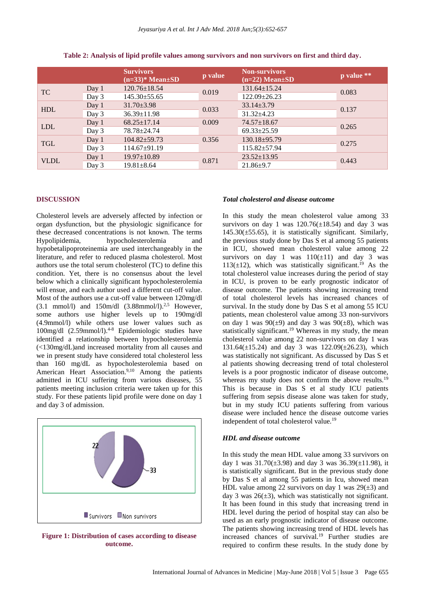|             |       | <b>Survivors</b><br>$(n=33)$ <sup>*</sup> Mean $\pm SD$ | p value | <b>Non-survivors</b><br>$(n=22)$ Mean $\pm SD$ | p value ** |
|-------------|-------|---------------------------------------------------------|---------|------------------------------------------------|------------|
| TC          | Day 1 | $120.76 \pm 18.54$                                      | 0.019   | $131.64 \pm 15.24$                             | 0.083      |
|             | Day 3 | $145.30 \pm 55.65$                                      |         | 122.09±26.23                                   |            |
| <b>HDL</b>  | Day 1 | $31.70 \pm 3.98$                                        | 0.033   | $33.14 \pm 3.79$                               | 0.137      |
|             | Day 3 | $36.39 \pm 11.98$                                       |         | $31.32 \pm 4.23$                               |            |
| <b>LDL</b>  | Day 1 | $68.25 \pm 17.14$                                       | 0.009   | $74.57 \pm 18.67$                              | 0.265      |
|             | Day 3 | 78.78±24.74                                             |         | $69.33 \pm 25.59$                              |            |
| <b>TGL</b>  | Day 1 | $104.82 \pm 59.73$                                      | 0.356   | $130.18 \pm 95.79$                             | 0.275      |
|             | Day 3 | $114.67 \pm 91.19$                                      |         | $115.82 \pm 57.94$                             |            |
| <b>VLDL</b> | Day 1 | $19.97 \pm 10.89$                                       | 0.871   | $23.52 \pm 13.95$                              | 0.443      |
|             | Day 3 | $19.81 \pm 8.64$                                        |         | $21.86 \pm 9.7$                                |            |

**Table 2: Analysis of lipid profile values among survivors and non survivors on first and third day.**

## **DISCUSSION**

Cholesterol levels are adversely affected by infection or organ dysfunction, but the physiologic significance for these decreased concentrations is not known. The terms Hypolipidemia, hypocholesterolemia and hypobetalipoproteinemia are used interchangeably in the literature, and refer to reduced plasma cholesterol. Most authors use the total serum cholesterol (TC) to define this condition. Yet, there is no consensus about the level below which a clinically significant hypocholesterolemia will ensue, and each author used a different cut-off value. Most of the authors use a cut-off value between 120mg/dl  $(3.1 \text{ mmol/l})$  and  $150 \text{m/d}$   $(3.88 \text{ mmol/l})^{2.5}$  However, some authors use higher levels up to 190mg/dl (4.9mmol/l) while others use lower values such as 100mg/dl (2.59mmol/l).4-8 Epidemiologic studies have identified a relationship between hypocholesterolemia (<130mg/dL)and increased mortality from all causes and we in present study have considered total cholesterol less than 160 mg/dL as hypocholesterolemia based on American Heart Association.<sup>9,10</sup> Among the patients admitted in ICU suffering from various diseases, 55 patients meeting inclusion criteria were taken up for this study. For these patients lipid profile were done on day 1 and day 3 of admission.



**Figure 1: Distribution of cases according to disease outcome.**

#### *Total cholesterol and disease outcome*

In this study the mean cholesterol value among 33 survivors on day 1 was  $120.76(\pm 18.54)$  and day 3 was  $145.30(\pm 55.65)$ , it is statistically significant. Similarly, the previous study done by Das S et al among 55 patients in ICU, showed mean cholesterol value among 22 survivors on day 1 was  $110(\pm 11)$  and day 3 was 113( $\pm$ 12), which was statistically significant.<sup>19</sup> As the total cholesterol value increases during the period of stay in ICU, is proven to be early prognostic indicator of disease outcome. The patients showing increasing trend of total cholesterol levels has increased chances of survival. In the study done by Das S et al among 55 ICU patients, mean cholesterol value among 33 non-survivors on day 1 was  $90(\pm 9)$  and day 3 was  $90(\pm 8)$ , which was statistically significant.<sup>19</sup> Whereas in my study, the mean cholesterol value among 22 non-survivors on day 1 was 131.64( $\pm$ 15.24) and day 3 was 122.09( $\pm$ 26.23), which was statistically not significant. As discussed by Das S et al patients showing decreasing trend of total cholesterol levels is a poor prognostic indicator of disease outcome, whereas my study does not confirm the above results.<sup>19</sup> This is because in Das S et al study ICU patients suffering from sepsis disease alone was taken for study, but in my study ICU patients suffering from various disease were included hence the disease outcome varies independent of total cholesterol value.<sup>19</sup>

#### *HDL and disease outcome*

In this study the mean HDL value among 33 survivors on day 1 was  $31.70(\pm 3.98)$  and day 3 was  $36.39(\pm 11.98)$ , it is statistically significant. But in the previous study done by Das S et al among 55 patients in Icu, showed mean HDL value among 22 survivors on day 1 was  $29(\pm 3)$  and day 3 was  $26(\pm 3)$ , which was statistically not significant. It has been found in this study that increasing trend in HDL level during the period of hospital stay can also be used as an early prognostic indicator of disease outcome. The patients showing increasing trend of HDL levels has increased chances of survival.<sup>19</sup> Further studies are required to confirm these results. In the study done by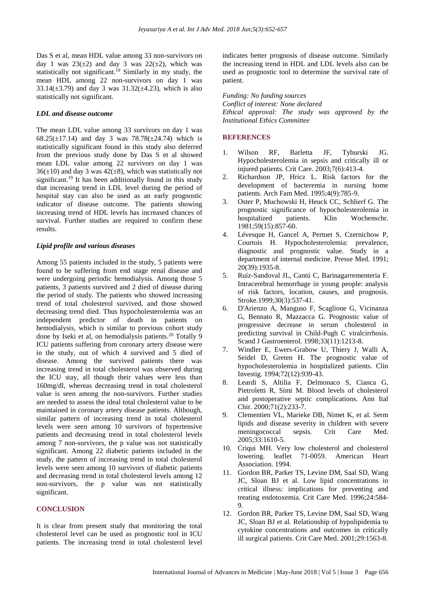Das S et al, mean HDL value among 33 non-survivors on day 1 was  $23(\pm 2)$  and day 3 was  $22(\pm 2)$ , which was statistically not significant.<sup>19</sup> Similarly in my study, the mean HDL among 22 non-survivors on day 1 was 33.14( $\pm$ 3.79) and day 3 was 31.32( $\pm$ 4.23), which is also statistically not significant.

#### *LDL and disease outcome*

The mean LDL value among 33 survivors on day 1 was 68.25( $\pm$ 17.14) and day 3 was 78.78( $\pm$ 24.74) which is statistically significant found in this study also deferred from the previous study done by Das S et al showed mean LDL value among 22 survivors on day 1 was  $36(\pm 10)$  and day 3 was  $42(\pm 8)$ , which was statistically not significant.<sup>19</sup> It has been additionally found in this study that increasing trend in LDL level during the period of hospital stay can also be used as an early prognostic indicator of disease outcome. The patients showing increasing trend of HDL levels has increased chances of survival. Further studies are required to confirm these results.

#### *Lipid profile and various diseases*

Among 55 patients included in the study, 5 patients were found to be suffering from end stage renal disease and were undergoing periodic hemodialysis. Among those 5 patients, 3 patients survived and 2 died of disease during the period of study. The patients who showed increasing trend of total cholesterol survived, and those showed decreasing trend died. Thus hypocholesterolemia was an independent predictor of death in patients on hemodialysis, which is similar to previous cohort study done by Iseki et al, on hemodialysis patients.<sup>20</sup> Totally 9 ICU patients suffering from coronary artery disease were in the study, out of which 4 survived and 5 died of disease. Among the survived patients there was increasing trend in total cholesterol was observed during the ICU stay, all though their values were less than 160mg/dl, whereas decreasing trend in total cholesterol value is seen among the non-survivors. Further studies are needed to assess the ideal total cholesterol value to be maintained in coronary artery disease patients. Although, similar pattern of increasing trend in total cholesterol levels were seen among 10 survivors of hypertensive patients and decreasing trend in total cholesterol levels among 7 non-survivors, the p value was not statistically significant. Among 22 diabetic patients included in the study, the pattern of increasing trend in total cholesterol levels were seen among 10 survivors of diabetic patients and decreasing trend in total cholesterol levels among 12 non-survivors, the p value was not statistically significant.

#### **CONCLUSION**

It is clear from present study that monitoring the total cholesterol level can be used as prognostic tool in ICU patients. The increasing trend in total cholesterol level indicates better prognosis of disease outcome. Similarly the increasing trend in HDL and LDL levels also can be used as prognostic tool to determine the survival rate of patient.

*Funding: No funding sources Conflict of interest: None declared Ethical approval: The study was approved by the Institutional Ethics Committee*

#### **REFERENCES**

- 1. Wilson RF, Barletta JF, Tyburski JG. Hypocholesterolemia in sepsis and critically ill or injured patients. Crit Care. 2003;7(6):413-4.
- 2. Richardson JP, Hricz L. Risk factors for the development of bacteremia in nursing home patients. Arch Fam Med. 1995;4(9):785-9.
- 3. Oster P, Muchowski H, Heuck CC, Schlierf G. The prognostic significance of hypocholesterolemia in hospitalized patients. Klin Wochenschr. 1981;59(15):857-60.
- 4. Lévesque H, Gancel A, Pertuet S, Czernichow P, Courtois H. Hypocholesterolemia: prevalence, diagnostic and prognostic value. Study in a department of internal medicine. Presse Med. 1991; 20(39):1935-8.
- 5. Ruíz-Sandoval JL, Cantú C, Barinagarrementeria F. Intracerebral hemorrhage in young people: analysis of risk factors, location, causes, and prognosis. Stroke.1999;30(3):537-41.
- 6. D'Arienzo A, Manguso F, Scaglione G, Vicinanza G, Bennato R, Mazzacca G. Prognostic value of progressive decrease in serum cholesterol in predicting survival in Child-Pugh C viralcirrhosis. Scand J Gastroenterol. 1998;33(11):1213-8.
- 7. Windler E, Ewers-Grabow U, Thiery J, Walli A, Seidel D, Greten H. The prognostic value of hypocholesterolemia in hospitalized patients. Clin Investig. 1994;72(12):939-43.
- 8. Leardi S, Altilia F, Delmonaco S, Cianca G, Pietroletti R, Simi M. Blood levels of cholesterol and postoperative septic complications. Ann Ital Chir. 2000;71(2):233-7.
- 9. Clementien VL, Marieke DB, Nimet K, et al. Serm lipids and disease severity in children with severe meningococcal sepsis. Crit Care Med. 2005;33:1610-5.
- 10. Criqui MH. Very low cholesterol and cholesterol lowering. leaflet 71-0059. American Heart Association. 1994.
- 11. Gordon BR, Parker TS, Levine DM, Saal SD, Wang JC, Sloan BJ et al. Low lipid concentrations in critical illness: implications for preventing and treating endotoxemia. Crit Care Med. 1996;24:584-  $\mathbf Q$
- 12. Gordon BR, Parker TS, Levine DM, Saal SD, Wang JC, Sloan BJ et al. Relationship of hypolipidemia to cytokine concentrations and outcomes in critically ill surgical patients. Crit Care Med. 2001;29:1563-8.